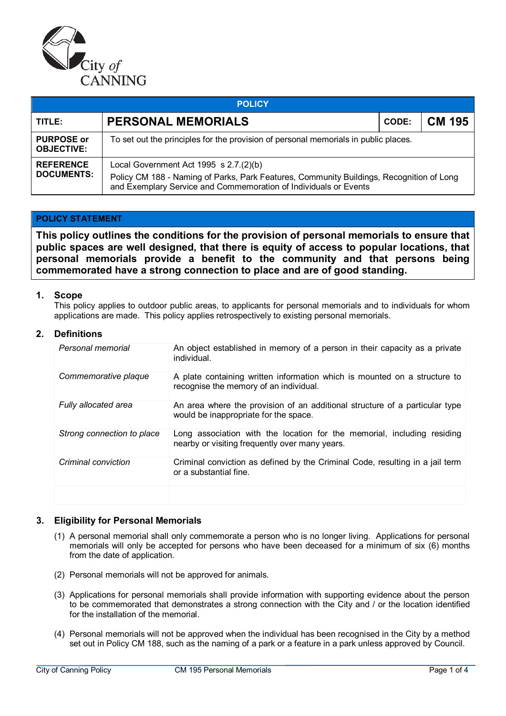

| <b>POLICY</b>                          |                                                                                                                                                                                                        |  |               |  |  |  |
|----------------------------------------|--------------------------------------------------------------------------------------------------------------------------------------------------------------------------------------------------------|--|---------------|--|--|--|
| TITLE:                                 | <b>PERSONAL MEMORIALS</b>                                                                                                                                                                              |  | <b>CM 195</b> |  |  |  |
| <b>PURPOSE or</b><br><b>OBJECTIVE:</b> | To set out the principles for the provision of personal memorials in public places.                                                                                                                    |  |               |  |  |  |
| <b>REFERENCE</b><br><b>DOCUMENTS:</b>  | Local Government Act 1995 s 2.7.(2)(b)<br>Policy CM 188 - Naming of Parks, Park Features, Community Buildings, Recognition of Long<br>and Exemplary Service and Commemoration of Individuals or Events |  |               |  |  |  |

## **POLICY STATEMENT**

**This policy outlines the conditions for the provision of personal memorials to ensure that public spaces are well designed, that there is equity of access to popular locations, that personal memorials provide a benefit to the community and that persons being commemorated have a strong connection to place and are of good standing.**

### **1. Scope**

This policy applies to outdoor public areas, to applicants for personal memorials and to individuals for whom applications are made. This policy applies retrospectively to existing personal memorials.

## **2. Definitions**

| Personal memorial          | An object established in memory of a person in their capacity as a private<br>individual.                                 |
|----------------------------|---------------------------------------------------------------------------------------------------------------------------|
| Commemorative plaque       | A plate containing written information which is mounted on a structure to<br>recognise the memory of an individual.       |
| Fully allocated area       | An area where the provision of an additional structure of a particular type<br>would be inappropriate for the space.      |
| Strong connection to place | Long association with the location for the memorial, including residing<br>nearby or visiting frequently over many years. |
| Criminal conviction        | Criminal conviction as defined by the Criminal Code, resulting in a jail term<br>or a substantial fine.                   |
|                            |                                                                                                                           |

## **3. Eligibility for Personal Memorials**

- (1) A personal memorial shall only commemorate a person who is no longer living. Applications for personal memorials will only be accepted for persons who have been deceased for a minimum of six (6) months from the date of application.
- (2) Personal memorials will not be approved for animals.
- (3) Applications for personal memorials shall provide information with supporting evidence about the person to be commemorated that demonstrates a strong connection with the City and / or the location identified for the installation of the memorial.
- (4) Personal memorials will not be approved when the individual has been recognised in the City by a method set out in Policy CM 188, such as the naming of a park or a feature in a park unless approved by Council.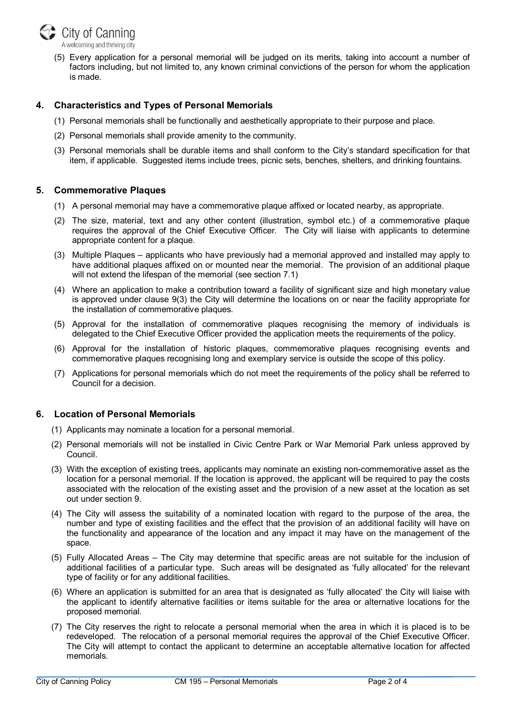

(5) Every application for a personal memorial will be judged on its merits, taking into account a number of factors including, but not limited to, any known criminal convictions of the person for whom the application is made.

# **4. Characteristics and Types of Personal Memorials**

- (1) Personal memorials shall be functionally and aesthetically appropriate to their purpose and place.
- (2) Personal memorials shall provide amenity to the community.
- (3) Personal memorials shall be durable items and shall conform to the City's standard specification for that item, if applicable. Suggested items include trees, picnic sets, benches, shelters, and drinking fountains.

# **5. Commemorative Plaques**

- (1) A personal memorial may have a commemorative plaque affixed or located nearby, as appropriate.
- (2) The size, material, text and any other content (illustration, symbol etc.) of a commemorative plaque requires the approval of the Chief Executive Officer. The City will liaise with applicants to determine appropriate content for a plaque.
- (3) Multiple Plaques applicants who have previously had a memorial approved and installed may apply to have additional plaques affixed on or mounted near the memorial. The provision of an additional plaque will not extend the lifespan of the memorial (see section 7.1)
- (4) Where an application to make a contribution toward a facility of significant size and high monetary value is approved under clause 9(3) the City will determine the locations on or near the facility appropriate for the installation of commemorative plaques.
- (5) Approval for the installation of commemorative plaques recognising the memory of individuals is delegated to the Chief Executive Officer provided the application meets the requirements of the policy.
- (6) Approval for the installation of historic plaques, commemorative plaques recognising events and commemorative plaques recognising long and exemplary service is outside the scope of this policy.
- (7) Applications for personal memorials which do not meet the requirements of the policy shall be referred to Council for a decision.

# **6. Location of Personal Memorials**

- (1) Applicants may nominate a location for a personal memorial.
- (2) Personal memorials will not be installed in Civic Centre Park or War Memorial Park unless approved by Council.
- (3) With the exception of existing trees, applicants may nominate an existing non-commemorative asset as the location for a personal memorial. If the location is approved, the applicant will be required to pay the costs associated with the relocation of the existing asset and the provision of a new asset at the location as set out under section 9.
- (4) The City will assess the suitability of a nominated location with regard to the purpose of the area, the number and type of existing facilities and the effect that the provision of an additional facility will have on the functionality and appearance of the location and any impact it may have on the management of the space.
- (5) Fully Allocated Areas The City may determine that specific areas are not suitable for the inclusion of additional facilities of a particular type. Such areas will be designated as 'fully allocated' for the relevant type of facility or for any additional facilities.
- (6) Where an application is submitted for an area that is designated as 'fully allocated' the City will liaise with the applicant to identify alternative facilities or items suitable for the area or alternative locations for the proposed memorial.
- (7) The City reserves the right to relocate a personal memorial when the area in which it is placed is to be redeveloped. The relocation of a personal memorial requires the approval of the Chief Executive Officer. The City will attempt to contact the applicant to determine an acceptable alternative location for affected memorials.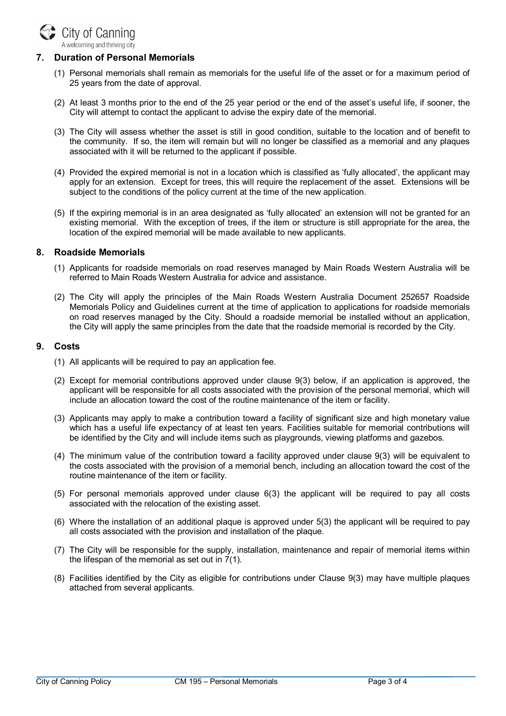

# **7. Duration of Personal Memorials**

- (1) Personal memorials shall remain as memorials for the useful life of the asset or for a maximum period of 25 years from the date of approval.
- (2) At least 3 months prior to the end of the 25 year period or the end of the asset's useful life, if sooner, the City will attempt to contact the applicant to advise the expiry date of the memorial.
- (3) The City will assess whether the asset is still in good condition, suitable to the location and of benefit to the community. If so, the item will remain but will no longer be classified as a memorial and any plaques associated with it will be returned to the applicant if possible.
- (4) Provided the expired memorial is not in a location which is classified as 'fully allocated', the applicant may apply for an extension. Except for trees, this will require the replacement of the asset. Extensions will be subject to the conditions of the policy current at the time of the new application.
- (5) If the expiring memorial is in an area designated as 'fully allocated' an extension will not be granted for an existing memorial. With the exception of trees, if the item or structure is still appropriate for the area, the location of the expired memorial will be made available to new applicants.

### **8. Roadside Memorials**

- (1) Applicants for roadside memorials on road reserves managed by Main Roads Western Australia will be referred to Main Roads Western Australia for advice and assistance.
- (2) The City will apply the principles of the Main Roads Western Australia Document 252657 Roadside Memorials Policy and Guidelines current at the time of application to applications for roadside memorials on road reserves managed by the City. Should a roadside memorial be installed without an application, the City will apply the same principles from the date that the roadside memorial is recorded by the City.

### **9. Costs**

- (1) All applicants will be required to pay an application fee.
- (2) Except for memorial contributions approved under clause 9(3) below, if an application is approved, the applicant will be responsible for all costs associated with the provision of the personal memorial, which will include an allocation toward the cost of the routine maintenance of the item or facility.
- (3) Applicants may apply to make a contribution toward a facility of significant size and high monetary value which has a useful life expectancy of at least ten years. Facilities suitable for memorial contributions will be identified by the City and will include items such as playgrounds, viewing platforms and gazebos.
- (4) The minimum value of the contribution toward a facility approved under clause 9(3) will be equivalent to the costs associated with the provision of a memorial bench, including an allocation toward the cost of the routine maintenance of the item or facility.
- (5) For personal memorials approved under clause 6(3) the applicant will be required to pay all costs associated with the relocation of the existing asset.
- (6) Where the installation of an additional plaque is approved under 5(3) the applicant will be required to pay all costs associated with the provision and installation of the plaque.
- (7) The City will be responsible for the supply, installation, maintenance and repair of memorial items within the lifespan of the memorial as set out in 7(1).
- (8) Facilities identified by the City as eligible for contributions under Clause 9(3) may have multiple plaques attached from several applicants.